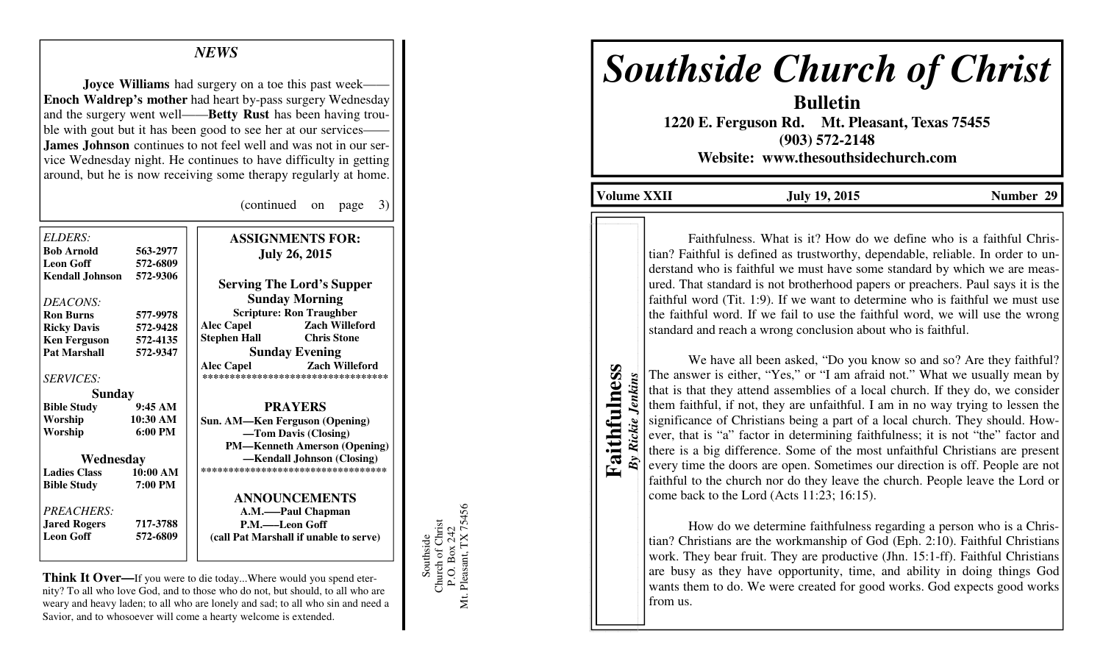## *NEWS*

**Joyce Williams** had surgery on a toe this past week- **Enoch Waldrep's mother** had heart by-pass surgery Wednesday and the surgery went well——**Betty Rust** has been having trouble with gout but it has been good to see her at our services- **James Johnson** continues to not feel well and was not in our service Wednesday night. He continues to have difficulty in getting around, but he is now receiving some therapy regularly at home.

(continued on page 3)

| ELDERS:                |                   | <b>ASSIGNMENTS FOR:</b>                |
|------------------------|-------------------|----------------------------------------|
| <b>Bob Arnold</b>      | 563-2977          | <b>July 26, 2015</b>                   |
| <b>Leon Goff</b>       | 572-6809          |                                        |
| <b>Kendall Johnson</b> | 572-9306          |                                        |
|                        |                   | <b>Serving The Lord's Supper</b>       |
| DEACONS:               |                   | <b>Sunday Morning</b>                  |
| <b>Ron Burns</b>       | 577-9978          | <b>Scripture: Ron Traughber</b>        |
| <b>Ricky Davis</b>     | 572-9428          | <b>Zach Willeford</b><br>Alec Capel    |
| <b>Ken Ferguson</b>    | 572-4135          | <b>Chris Stone</b><br>Stephen Hall     |
| <b>Pat Marshall</b>    | 572-9347          | <b>Sunday Evening</b>                  |
|                        |                   | <b>Zach Willeford</b><br>Alec Capel    |
| <b>SERVICES:</b>       |                   | ***********************************    |
| Sunday                 |                   |                                        |
| <b>Bible Study</b>     | 9:45AM            | <b>PRAYERS</b>                         |
| Worship                | 10:30 AM          | Sun. AM—Ken Ferguson (Opening)         |
| Worship                | $6:00 \text{ PM}$ | -Tom Davis (Closing)                   |
|                        |                   | <b>PM—Kenneth Amerson (Opening)</b>    |
| Wednesday              |                   | -Kendall Johnson (Closing)             |
| <b>Ladies Class</b>    | 10:00 AM          | ***********************************    |
| <b>Bible Study</b>     | 7:00 PM           |                                        |
|                        |                   | <b>ANNOUNCEMENTS</b>                   |
| PREACHERS:             |                   | A.M.——Paul Chapman                     |
| <b>Jared Rogers</b>    | 717-3788          | P.M.——Leon Goff                        |
| <b>Leon Goff</b>       | 572-6809          | (call Pat Marshall if unable to serve) |
|                        |                   |                                        |

**Think It Over—**If you were to die today...Where would you spend eternity? To all who love God, and to those who do not, but should, to all who are weary and heavy laden; to all who are lonely and sad; to all who sin and need a Savior, and to whosoever will come a hearty welcome is extended.

Southside<br>Church of Christ<br>P.O. Box 242<br>Mt. Pleasant, TX 75456 Mt. Pleasant, TX 75456 Church of Christ P.O. Box 242 Southside

# *Southside Church of Christ*

**Bulletin 1220 E. Ferguson Rd. Mt. Pleasant, Texas 75455 (903) 572-2148 Website: www.thesouthsidechurch.com** 

**Volume XXII July 19, 2015 Number 29** 

**Faithfulness**  Faithfulness *By Rickie Jenkins* By Rickie Jenkins

Faithfulness. What is it? How do we define who is a faithful Christian? Faithful is defined as trustworthy, dependable, reliable. In order to understand who is faithful we must have some standard by which we are measured. That standard is not brotherhood papers or preachers. Paul says it is the faithful word (Tit. 1:9). If we want to determine who is faithful we must use the faithful word. If we fail to use the faithful word, we will use the wrong standard and reach a wrong conclusion about who is faithful.

 We have all been asked, "Do you know so and so? Are they faithful? The answer is either, "Yes," or "I am afraid not." What we usually mean by that is that they attend assemblies of a local church. If they do, we consider them faithful, if not, they are unfaithful. I am in no way trying to lessen the significance of Christians being a part of a local church. They should. However, that is "a" factor in determining faithfulness; it is not "the" factor and there is a big difference. Some of the most unfaithful Christians are present every time the doors are open. Sometimes our direction is off. People are not faithful to the church nor do they leave the church. People leave the Lord or come back to the Lord (Acts 11:23; 16:15).

 How do we determine faithfulness regarding a person who is a Christian? Christians are the workmanship of God (Eph. 2:10). Faithful Christians work. They bear fruit. They are productive (Jhn. 15:1-ff). Faithful Christians are busy as they have opportunity, time, and ability in doing things God wants them to do. We were created for good works. God expects good works from us.